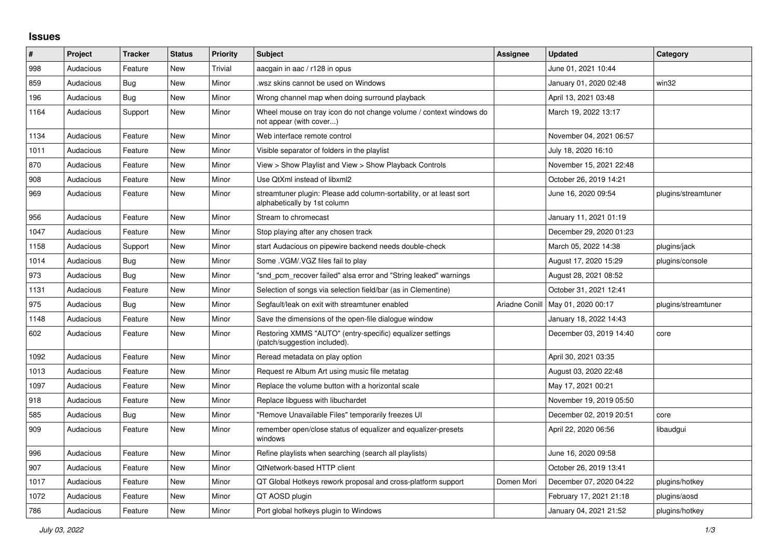## **Issues**

| #    | Project   | <b>Tracker</b> | <b>Status</b> | <b>Priority</b> | <b>Subject</b>                                                                                      | Assignee       | <b>Updated</b>          | Category            |
|------|-----------|----------------|---------------|-----------------|-----------------------------------------------------------------------------------------------------|----------------|-------------------------|---------------------|
| 998  | Audacious | Feature        | <b>New</b>    | Trivial         | aacgain in aac / r128 in opus                                                                       |                | June 01, 2021 10:44     |                     |
| 859  | Audacious | Bug            | New           | Minor           | wsz skins cannot be used on Windows                                                                 |                | January 01, 2020 02:48  | win32               |
| 196  | Audacious | <b>Bug</b>     | New           | Minor           | Wrong channel map when doing surround playback                                                      |                | April 13, 2021 03:48    |                     |
| 1164 | Audacious | Support        | New           | Minor           | Wheel mouse on tray icon do not change volume / context windows do<br>not appear (with cover)       |                | March 19, 2022 13:17    |                     |
| 1134 | Audacious | Feature        | New           | Minor           | Web interface remote control                                                                        |                | November 04, 2021 06:57 |                     |
| 1011 | Audacious | Feature        | New           | Minor           | Visible separator of folders in the playlist                                                        |                | July 18, 2020 16:10     |                     |
| 870  | Audacious | Feature        | New           | Minor           | View > Show Playlist and View > Show Playback Controls                                              |                | November 15, 2021 22:48 |                     |
| 908  | Audacious | Feature        | <b>New</b>    | Minor           | Use QtXml instead of libxml2                                                                        |                | October 26, 2019 14:21  |                     |
| 969  | Audacious | Feature        | <b>New</b>    | Minor           | streamtuner plugin: Please add column-sortability, or at least sort<br>alphabetically by 1st column |                | June 16, 2020 09:54     | plugins/streamtuner |
| 956  | Audacious | Feature        | <b>New</b>    | Minor           | Stream to chromecast                                                                                |                | January 11, 2021 01:19  |                     |
| 1047 | Audacious | Feature        | <b>New</b>    | Minor           | Stop playing after any chosen track                                                                 |                | December 29, 2020 01:23 |                     |
| 1158 | Audacious | Support        | New           | Minor           | start Audacious on pipewire backend needs double-check                                              |                | March 05, 2022 14:38    | plugins/jack        |
| 1014 | Audacious | Bug            | New           | Minor           | Some .VGM/.VGZ files fail to play                                                                   |                | August 17, 2020 15:29   | plugins/console     |
| 973  | Audacious | Bug            | New           | Minor           | "snd pcm recover failed" alsa error and "String leaked" warnings                                    |                | August 28, 2021 08:52   |                     |
| 1131 | Audacious | Feature        | New           | Minor           | Selection of songs via selection field/bar (as in Clementine)                                       |                | October 31, 2021 12:41  |                     |
| 975  | Audacious | Bug            | New           | Minor           | Segfault/leak on exit with streamtuner enabled                                                      | Ariadne Conill | May 01, 2020 00:17      | plugins/streamtuner |
| 1148 | Audacious | Feature        | New           | Minor           | Save the dimensions of the open-file dialogue window                                                |                | January 18, 2022 14:43  |                     |
| 602  | Audacious | Feature        | New           | Minor           | Restoring XMMS "AUTO" (entry-specific) equalizer settings<br>(patch/suggestion included).           |                | December 03, 2019 14:40 | core                |
| 1092 | Audacious | Feature        | New           | Minor           | Reread metadata on play option                                                                      |                | April 30, 2021 03:35    |                     |
| 1013 | Audacious | Feature        | <b>New</b>    | Minor           | Request re Album Art using music file metatag                                                       |                | August 03, 2020 22:48   |                     |
| 1097 | Audacious | Feature        | New           | Minor           | Replace the volume button with a horizontal scale                                                   |                | May 17, 2021 00:21      |                     |
| 918  | Audacious | Feature        | <b>New</b>    | Minor           | Replace libguess with libuchardet                                                                   |                | November 19, 2019 05:50 |                     |
| 585  | Audacious | Bug            | New           | Minor           | "Remove Unavailable Files" temporarily freezes UI                                                   |                | December 02, 2019 20:51 | core                |
| 909  | Audacious | Feature        | New           | Minor           | remember open/close status of equalizer and equalizer-presets<br>windows                            |                | April 22, 2020 06:56    | libaudgui           |
| 996  | Audacious | Feature        | New           | Minor           | Refine playlists when searching (search all playlists)                                              |                | June 16, 2020 09:58     |                     |
| 907  | Audacious | Feature        | New           | Minor           | QtNetwork-based HTTP client                                                                         |                | October 26, 2019 13:41  |                     |
| 1017 | Audacious | Feature        | New           | Minor           | QT Global Hotkeys rework proposal and cross-platform support                                        | Domen Mori     | December 07, 2020 04:22 | plugins/hotkey      |
| 1072 | Audacious | Feature        | New           | Minor           | QT AOSD plugin                                                                                      |                | February 17, 2021 21:18 | plugins/aosd        |
| 786  | Audacious | Feature        | New           | Minor           | Port global hotkeys plugin to Windows                                                               |                | January 04, 2021 21:52  | plugins/hotkey      |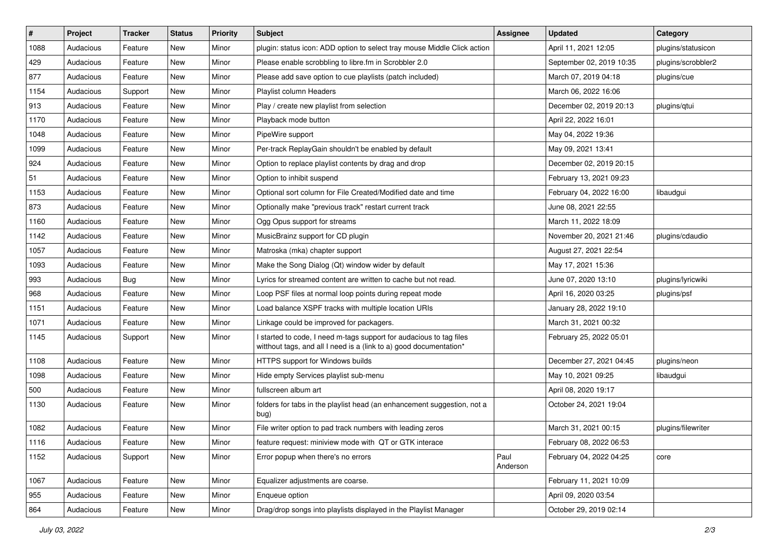| $\#$ | Project   | <b>Tracker</b> | <b>Status</b> | <b>Priority</b> | <b>Subject</b>                                                                                                                            | <b>Assignee</b>  | <b>Updated</b>           | Category           |
|------|-----------|----------------|---------------|-----------------|-------------------------------------------------------------------------------------------------------------------------------------------|------------------|--------------------------|--------------------|
| 1088 | Audacious | Feature        | New           | Minor           | plugin: status icon: ADD option to select tray mouse Middle Click action                                                                  |                  | April 11, 2021 12:05     | plugins/statusicon |
| 429  | Audacious | Feature        | New           | Minor           | Please enable scrobbling to libre.fm in Scrobbler 2.0                                                                                     |                  | September 02, 2019 10:35 | plugins/scrobbler2 |
| 877  | Audacious | Feature        | New           | Minor           | Please add save option to cue playlists (patch included)                                                                                  |                  | March 07, 2019 04:18     | plugins/cue        |
| 1154 | Audacious | Support        | New           | Minor           | Playlist column Headers                                                                                                                   |                  | March 06, 2022 16:06     |                    |
| 913  | Audacious | Feature        | New           | Minor           | Play / create new playlist from selection                                                                                                 |                  | December 02, 2019 20:13  | plugins/qtui       |
| 1170 | Audacious | Feature        | New           | Minor           | Playback mode button                                                                                                                      |                  | April 22, 2022 16:01     |                    |
| 1048 | Audacious | Feature        | New           | Minor           | PipeWire support                                                                                                                          |                  | May 04, 2022 19:36       |                    |
| 1099 | Audacious | Feature        | New           | Minor           | Per-track ReplayGain shouldn't be enabled by default                                                                                      |                  | May 09, 2021 13:41       |                    |
| 924  | Audacious | Feature        | New           | Minor           | Option to replace playlist contents by drag and drop                                                                                      |                  | December 02, 2019 20:15  |                    |
| 51   | Audacious | Feature        | New           | Minor           | Option to inhibit suspend                                                                                                                 |                  | February 13, 2021 09:23  |                    |
| 1153 | Audacious | Feature        | New           | Minor           | Optional sort column for File Created/Modified date and time                                                                              |                  | February 04, 2022 16:00  | libaudgui          |
| 873  | Audacious | Feature        | New           | Minor           | Optionally make "previous track" restart current track                                                                                    |                  | June 08, 2021 22:55      |                    |
| 1160 | Audacious | Feature        | New           | Minor           | Ogg Opus support for streams                                                                                                              |                  | March 11, 2022 18:09     |                    |
| 1142 | Audacious | Feature        | New           | Minor           | MusicBrainz support for CD plugin                                                                                                         |                  | November 20, 2021 21:46  | plugins/cdaudio    |
| 1057 | Audacious | Feature        | New           | Minor           | Matroska (mka) chapter support                                                                                                            |                  | August 27, 2021 22:54    |                    |
| 1093 | Audacious | Feature        | New           | Minor           | Make the Song Dialog (Qt) window wider by default                                                                                         |                  | May 17, 2021 15:36       |                    |
| 993  | Audacious | Bug            | New           | Minor           | Lyrics for streamed content are written to cache but not read.                                                                            |                  | June 07, 2020 13:10      | plugins/lyricwiki  |
| 968  | Audacious | Feature        | New           | Minor           | Loop PSF files at normal loop points during repeat mode                                                                                   |                  | April 16, 2020 03:25     | plugins/psf        |
| 1151 | Audacious | Feature        | New           | Minor           | Load balance XSPF tracks with multiple location URIs                                                                                      |                  | January 28, 2022 19:10   |                    |
| 1071 | Audacious | Feature        | New           | Minor           | Linkage could be improved for packagers.                                                                                                  |                  | March 31, 2021 00:32     |                    |
| 1145 | Audacious | Support        | New           | Minor           | I started to code, I need m-tags support for audacious to tag files<br>witthout tags, and all I need is a (link to a) good documentation* |                  | February 25, 2022 05:01  |                    |
| 1108 | Audacious | Feature        | New           | Minor           | HTTPS support for Windows builds                                                                                                          |                  | December 27, 2021 04:45  | plugins/neon       |
| 1098 | Audacious | Feature        | New           | Minor           | Hide empty Services playlist sub-menu                                                                                                     |                  | May 10, 2021 09:25       | libaudgui          |
| 500  | Audacious | Feature        | New           | Minor           | fullscreen album art                                                                                                                      |                  | April 08, 2020 19:17     |                    |
| 1130 | Audacious | Feature        | New           | Minor           | folders for tabs in the playlist head (an enhancement suggestion, not a<br>bug)                                                           |                  | October 24, 2021 19:04   |                    |
| 1082 | Audacious | Feature        | New           | Minor           | File writer option to pad track numbers with leading zeros                                                                                |                  | March 31, 2021 00:15     | plugins/filewriter |
| 1116 | Audacious | Feature        | New           | Minor           | feature request: miniview mode with QT or GTK interace                                                                                    |                  | February 08, 2022 06:53  |                    |
| 1152 | Audacious | Support        | New           | Minor           | Error popup when there's no errors                                                                                                        | Paul<br>Anderson | February 04, 2022 04:25  | core               |
| 1067 | Audacious | Feature        | New           | Minor           | Equalizer adjustments are coarse.                                                                                                         |                  | February 11, 2021 10:09  |                    |
| 955  | Audacious | Feature        | New           | Minor           | Enqueue option                                                                                                                            |                  | April 09, 2020 03:54     |                    |
| 864  | Audacious | Feature        | New           | Minor           | Drag/drop songs into playlists displayed in the Playlist Manager                                                                          |                  | October 29, 2019 02:14   |                    |